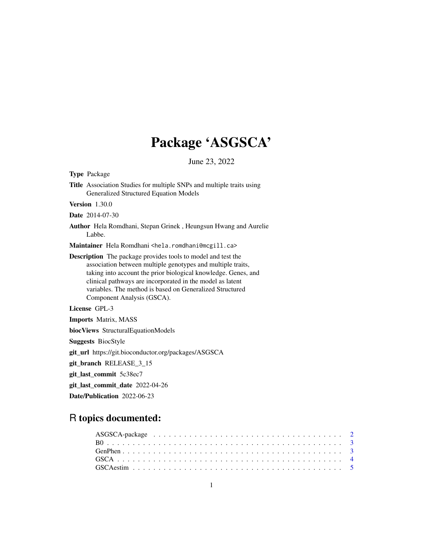# Package 'ASGSCA'

June 23, 2022

| Title Association Studies for multiple SNPs and multiple traits using<br>Generalized Structured Equation Models                                                                                                                                                                                                                                      |  |  |  |  |  |  |  |
|------------------------------------------------------------------------------------------------------------------------------------------------------------------------------------------------------------------------------------------------------------------------------------------------------------------------------------------------------|--|--|--|--|--|--|--|
| <b>Version</b> 1.30.0                                                                                                                                                                                                                                                                                                                                |  |  |  |  |  |  |  |
| <b>Date</b> 2014-07-30                                                                                                                                                                                                                                                                                                                               |  |  |  |  |  |  |  |
| Author Hela Romdhani, Stepan Grinek, Heungsun Hwang and Aurelie<br>Labbe.                                                                                                                                                                                                                                                                            |  |  |  |  |  |  |  |
| Maintainer Hela Romdhani <hela.romdhani@mcgill.ca></hela.romdhani@mcgill.ca>                                                                                                                                                                                                                                                                         |  |  |  |  |  |  |  |
| Description The package provides tools to model and test the<br>association between multiple genotypes and multiple traits,<br>taking into account the prior biological knowledge. Genes, and<br>clinical pathways are incorporated in the model as latent<br>variables. The method is based on Generalized Structured<br>Component Analysis (GSCA). |  |  |  |  |  |  |  |
| License GPL-3                                                                                                                                                                                                                                                                                                                                        |  |  |  |  |  |  |  |
| <b>Imports Matrix, MASS</b>                                                                                                                                                                                                                                                                                                                          |  |  |  |  |  |  |  |
| biocViews StructuralEquationModels                                                                                                                                                                                                                                                                                                                   |  |  |  |  |  |  |  |
| <b>Suggests BiocStyle</b>                                                                                                                                                                                                                                                                                                                            |  |  |  |  |  |  |  |
| git_url https://git.bioconductor.org/packages/ASGSCA                                                                                                                                                                                                                                                                                                 |  |  |  |  |  |  |  |
| git_branch RELEASE_3_15                                                                                                                                                                                                                                                                                                                              |  |  |  |  |  |  |  |
| git_last_commit 5c38ec7                                                                                                                                                                                                                                                                                                                              |  |  |  |  |  |  |  |
| git_last_commit_date 2022-04-26                                                                                                                                                                                                                                                                                                                      |  |  |  |  |  |  |  |
| Date/Publication 2022-06-23                                                                                                                                                                                                                                                                                                                          |  |  |  |  |  |  |  |

### R topics documented:

Type Package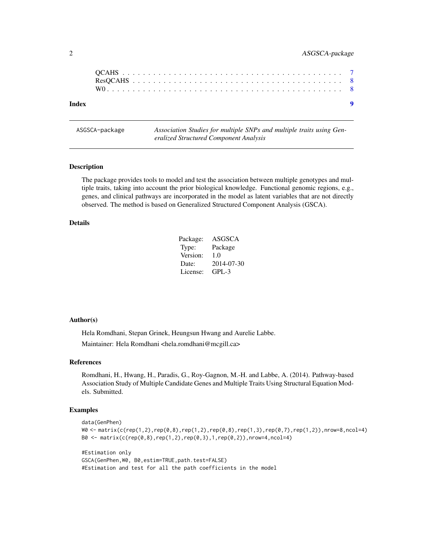<span id="page-1-0"></span>

#### **Index** [9](#page-8-0)

ASGSCA-package *Association Studies for multiple SNPs and multiple traits using Generalized Structured Component Analysis*

#### Description

The package provides tools to model and test the association between multiple genotypes and multiple traits, taking into account the prior biological knowledge. Functional genomic regions, e.g., genes, and clinical pathways are incorporated in the model as latent variables that are not directly observed. The method is based on Generalized Structured Component Analysis (GSCA).

#### Details

| Package: | ASGSCA     |
|----------|------------|
| Type:    | Package    |
| Version: | 1.0        |
| Date:    | 2014-07-30 |
| License: | $GPI - 3$  |

#### Author(s)

Hela Romdhani, Stepan Grinek, Heungsun Hwang and Aurelie Labbe. Maintainer: Hela Romdhani <hela.romdhani@mcgill.ca>

#### References

Romdhani, H., Hwang, H., Paradis, G., Roy-Gagnon, M.-H. and Labbe, A. (2014). Pathway-based Association Study of Multiple Candidate Genes and Multiple Traits Using Structural Equation Models. Submitted.

#### Examples

```
data(GenPhen)
W0 <- matrix(c(rep(1,2),rep(0,8),rep(1,2),rep(0,8),rep(1,3),rep(0,7),rep(1,2)),nrow=8,ncol=4)
B0 <- matrix(c(rep(0,8),rep(1,2),rep(0,3),1,rep(0,2)),nrow=4,ncol=4)
#Estimation only
GSCA(GenPhen,W0, B0,estim=TRUE,path.test=FALSE)
```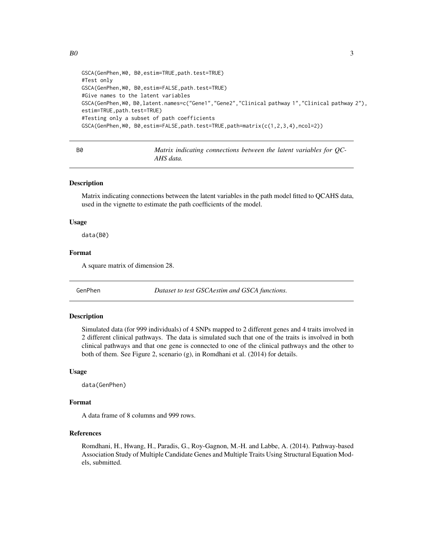```
GSCA(GenPhen,W0, B0,estim=TRUE,path.test=TRUE)
#Test only
GSCA(GenPhen,W0, B0,estim=FALSE,path.test=TRUE)
#Give names to the latent variables
GSCA(GenPhen,W0, B0,latent.names=c("Gene1","Gene2","Clinical pathway 1","Clinical pathway 2"),
estim=TRUE,path.test=TRUE)
#Testing only a subset of path coefficients
GSCA(GenPhen,W0, B0,estim=FALSE,path.test=TRUE,path=matrix(c(1,2,3,4),ncol=2))
```

| B0 | Matrix indicating connections between the latent variables for QC- |  |  |  |  |
|----|--------------------------------------------------------------------|--|--|--|--|
|    | AHS data.                                                          |  |  |  |  |

#### Description

Matrix indicating connections between the latent variables in the path model fitted to QCAHS data, used in the vignette to estimate the path coefficients of the model.

#### Usage

data(B0)

#### Format

A square matrix of dimension 28.

GenPhen *Dataset to test GSCAestim and GSCA functions.*

#### **Description**

Simulated data (for 999 individuals) of 4 SNPs mapped to 2 different genes and 4 traits involved in 2 different clinical pathways. The data is simulated such that one of the traits is involved in both clinical pathways and that one gene is connected to one of the clinical pathways and the other to both of them. See Figure 2, scenario (g), in Romdhani et al. (2014) for details.

#### Usage

data(GenPhen)

#### Format

A data frame of 8 columns and 999 rows.

#### References

Romdhani, H., Hwang, H., Paradis, G., Roy-Gagnon, M.-H. and Labbe, A. (2014). Pathway-based Association Study of Multiple Candidate Genes and Multiple Traits Using Structural Equation Models, submitted.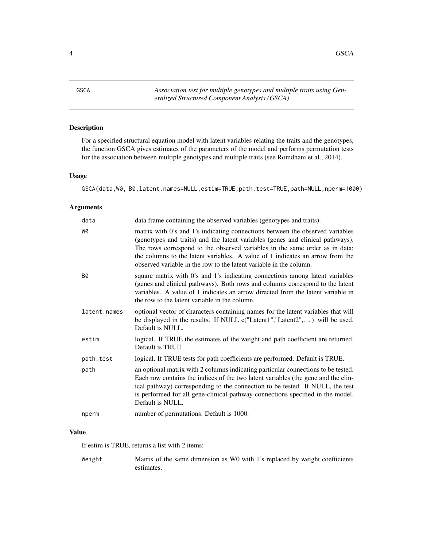<span id="page-3-0"></span>4 GSCA

GSCA *Association test for multiple genotypes and multiple traits using Generalized Structured Component Analysis (GSCA)*

### Description

For a specified structural equation model with latent variables relating the traits and the genotypes, the function GSCA gives estimates of the parameters of the model and performs permutation tests for the association between multiple genotypes and multiple traits (see Romdhani et al., 2014).

#### Usage

GSCA(data,W0, B0,latent.names=NULL,estim=TRUE,path.test=TRUE,path=NULL,nperm=1000)

#### Arguments

| data         | data frame containing the observed variables (genotypes and traits).                                                                                                                                                                                                                                                                                                                                  |
|--------------|-------------------------------------------------------------------------------------------------------------------------------------------------------------------------------------------------------------------------------------------------------------------------------------------------------------------------------------------------------------------------------------------------------|
| WØ           | matrix with 0's and 1's indicating connections between the observed variables<br>(genotypes and traits) and the latent variables (genes and clinical pathways).<br>The rows correspond to the observed variables in the same order as in data;<br>the columns to the latent variables. A value of 1 indicates an arrow from the<br>observed variable in the row to the latent variable in the column. |
| <b>B0</b>    | square matrix with 0's and 1's indicating connections among latent variables<br>(genes and clinical pathways). Both rows and columns correspond to the latent<br>variables. A value of 1 indicates an arrow directed from the latent variable in<br>the row to the latent variable in the column.                                                                                                     |
| latent.names | optional vector of characters containing names for the latent variables that will<br>be displayed in the results. If NULL $c("Latent1", "Latent2",)$ will be used.<br>Default is NULL.                                                                                                                                                                                                                |
| estim        | logical. If TRUE the estimates of the weight and path coefficient are returned.<br>Default is TRUE.                                                                                                                                                                                                                                                                                                   |
| path.test    | logical. If TRUE tests for path coefficients are performed. Default is TRUE.                                                                                                                                                                                                                                                                                                                          |
| path         | an optional matrix with 2 columns indicating particular connections to be tested.<br>Each row contains the indices of the two latent variables (the gene and the clin-<br>ical pathway) corresponding to the connection to be tested. If NULL, the test<br>is performed for all gene-clinical pathway connections specified in the model.<br>Default is NULL.                                         |
| nperm        | number of permutations. Default is 1000.                                                                                                                                                                                                                                                                                                                                                              |

#### Value

If estim is TRUE, returns a list with 2 items:

Weight Matrix of the same dimension as W0 with 1's replaced by weight coefficients estimates.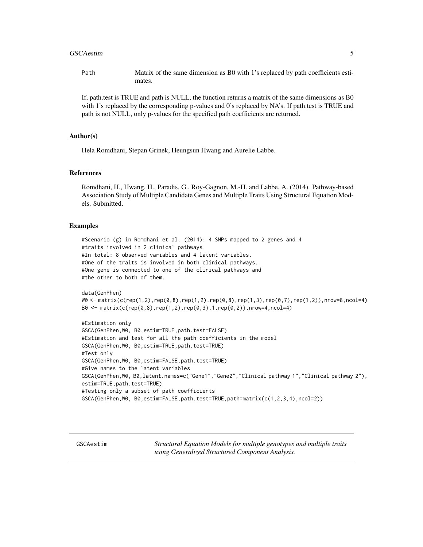#### <span id="page-4-0"></span>GSCAestim 5

Path Matrix of the same dimension as B0 with 1's replaced by path coefficients estimates.

If, path.test is TRUE and path is NULL, the function returns a matrix of the same dimensions as B0 with 1's replaced by the corresponding p-values and 0's replaced by NA's. If path.test is TRUE and path is not NULL, only p-values for the specified path coefficients are returned.

#### Author(s)

Hela Romdhani, Stepan Grinek, Heungsun Hwang and Aurelie Labbe.

#### References

Romdhani, H., Hwang, H., Paradis, G., Roy-Gagnon, M.-H. and Labbe, A. (2014). Pathway-based Association Study of Multiple Candidate Genes and Multiple Traits Using Structural Equation Models. Submitted.

#### Examples

```
#Scenario (g) in Romdhani et al. (2014): 4 SNPs mapped to 2 genes and 4
#traits involved in 2 clinical pathways
#In total: 8 observed variables and 4 latent variables.
#One of the traits is involved in both clinical pathways.
#One gene is connected to one of the clinical pathways and
#the other to both of them.
```

```
data(GenPhen)
W0 <- matrix(c(rep(1,2),rep(0,8),rep(1,2),rep(0,8),rep(1,3),rep(0,7),rep(1,2)),nrow=8,ncol=4)
B0 <- matrix(c(rep(0,8),rep(1,2),rep(0,3),1,rep(0,2)),nrow=4,ncol=4)
```

```
#Estimation only
GSCA(GenPhen,W0, B0,estim=TRUE,path.test=FALSE)
#Estimation and test for all the path coefficients in the model
GSCA(GenPhen,W0, B0,estim=TRUE,path.test=TRUE)
#Test only
GSCA(GenPhen,W0, B0,estim=FALSE,path.test=TRUE)
#Give names to the latent variables
GSCA(GenPhen,W0, B0,latent.names=c("Gene1","Gene2","Clinical pathway 1","Clinical pathway 2"),
estim=TRUE, path.test=TRUE)
#Testing only a subset of path coefficients
GSCA(GenPhen,W0, B0,estim=FALSE,path.test=TRUE,path=matrix(c(1,2,3,4),ncol=2))
```
GSCAestim *Structural Equation Models for multiple genotypes and multiple traits using Generalized Structured Component Analysis.*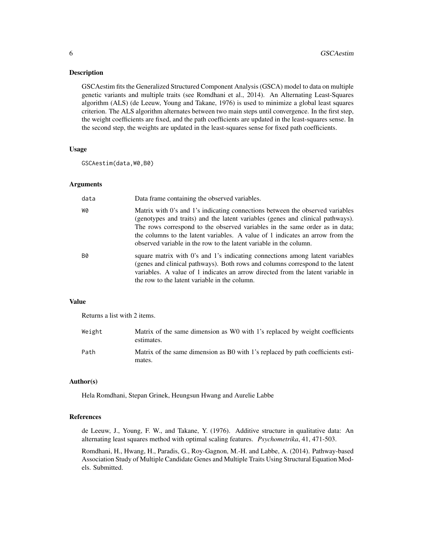#### **Description**

GSCAestim fits the Generalized Structured Component Analysis (GSCA) model to data on multiple genetic variants and multiple traits (see Romdhani et al., 2014). An Alternating Least-Squares algorithm (ALS) (de Leeuw, Young and Takane, 1976) is used to minimize a global least squares criterion. The ALS algorithm alternates between two main steps until convergence. In the first step, the weight coefficients are fixed, and the path coefficients are updated in the least-squares sense. In the second step, the weights are updated in the least-squares sense for fixed path coefficients.

#### Usage

GSCAestim(data,W0,B0)

#### Arguments

| data | Data frame containing the observed variables.                                                                                                                                                                                                                                                                                                                                                         |
|------|-------------------------------------------------------------------------------------------------------------------------------------------------------------------------------------------------------------------------------------------------------------------------------------------------------------------------------------------------------------------------------------------------------|
| WØ   | Matrix with 0's and 1's indicating connections between the observed variables<br>(genotypes and traits) and the latent variables (genes and clinical pathways).<br>The rows correspond to the observed variables in the same order as in data;<br>the columns to the latent variables. A value of 1 indicates an arrow from the<br>observed variable in the row to the latent variable in the column. |
| B0   | square matrix with 0's and 1's indicating connections among latent variables<br>(genes and clinical pathways). Both rows and columns correspond to the latent<br>variables. A value of 1 indicates an arrow directed from the latent variable in<br>the row to the latent variable in the column.                                                                                                     |

#### Value

Returns a list with 2 items.

| Weight | Matrix of the same dimension as W0 with 1's replaced by weight coefficients<br>estimates. |
|--------|-------------------------------------------------------------------------------------------|
| Path   | Matrix of the same dimension as B0 with 1's replaced by path coefficients esti-<br>mates. |

#### Author(s)

Hela Romdhani, Stepan Grinek, Heungsun Hwang and Aurelie Labbe

#### References

de Leeuw, J., Young, F. W., and Takane, Y. (1976). Additive structure in qualitative data: An alternating least squares method with optimal scaling features. *Psychometrika*, 41, 471-503.

Romdhani, H., Hwang, H., Paradis, G., Roy-Gagnon, M.-H. and Labbe, A. (2014). Pathway-based Association Study of Multiple Candidate Genes and Multiple Traits Using Structural Equation Models. Submitted.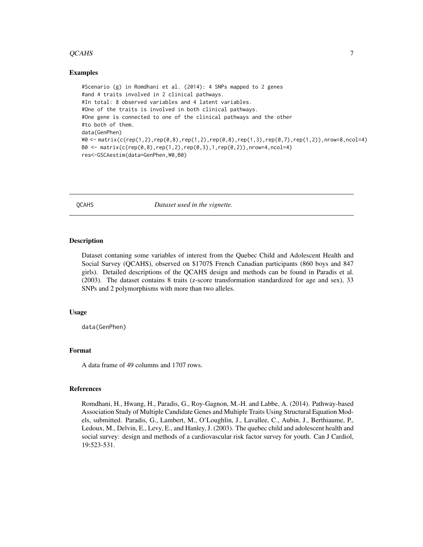#### <span id="page-6-0"></span> $QCAHS$   $7$

#### Examples

```
#Scenario (g) in Romdhani et al. (2014): 4 SNPs mapped to 2 genes
#and 4 traits involved in 2 clinical pathways.
#In total: 8 observed variables and 4 latent variables.
#One of the traits is involved in both clinical pathways.
#One gene is connected to one of the clinical pathways and the other
#to both of them.
data(GenPhen)
W0 <- matrix(c(rep(1,2),rep(0,8),rep(1,2),rep(0,8),rep(1,3),rep(0,7),rep(1,2)),nrow=8,ncol=4)
B0 \leq - \text{ matrix}(c(\text{rep}(0,8),\text{rep}(1,2),\text{rep}(0,3),1,\text{rep}(0,2)), nrow=4, ncol=4)
res<-GSCAestim(data=GenPhen,W0,B0)
```
QCAHS *Dataset used in the vignette.*

#### **Description**

Dataset contaning some variables of interest from the Quebec Child and Adolescent Health and Social Survey (QCAHS), observed on \$1707\$ French Canadian participants (860 boys and 847 girls). Detailed descriptions of the QCAHS design and methods can be found in Paradis et al. (2003). The dataset contains 8 traits (z-score transformation standardized for age and sex), 33 SNPs and 2 polymorphisms with more than two alleles.

#### Usage

data(GenPhen)

#### Format

A data frame of 49 columns and 1707 rows.

#### References

Romdhani, H., Hwang, H., Paradis, G., Roy-Gagnon, M.-H. and Labbe, A. (2014). Pathway-based Association Study of Multiple Candidate Genes and Multiple Traits Using Structural Equation Models, submitted. Paradis, G., Lambert, M., O'Loughlin, J., Lavallee, C., Aubin, J., Berthiaume, P., Ledoux, M., Delvin, E., Levy, E., and Hanley, J. (2003). The quebec child and adolescent health and social survey: design and methods of a cardiovascular risk factor survey for youth. Can J Cardiol, 19:523-531.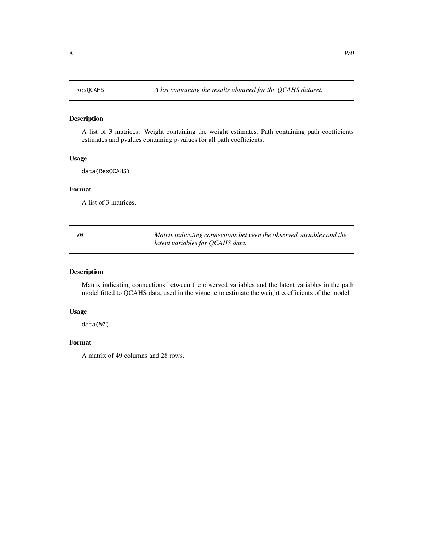#### <span id="page-7-0"></span>Description

A list of 3 matrices: Weight containing the weight estimates, Path containing path coefficients estimates and pvalues containing p-values for all path coefficients.

#### Usage

data(ResQCAHS)

#### Format

A list of 3 matrices.

W0 *Matrix indicating connections between the observed variables and the latent variables for QCAHS data.*

#### Description

Matrix indicating connections between the observed variables and the latent variables in the path model fitted to QCAHS data, used in the vignette to estimate the weight coefficients of the model.

#### Usage

data(W0)

#### Format

A matrix of 49 columns and 28 rows.